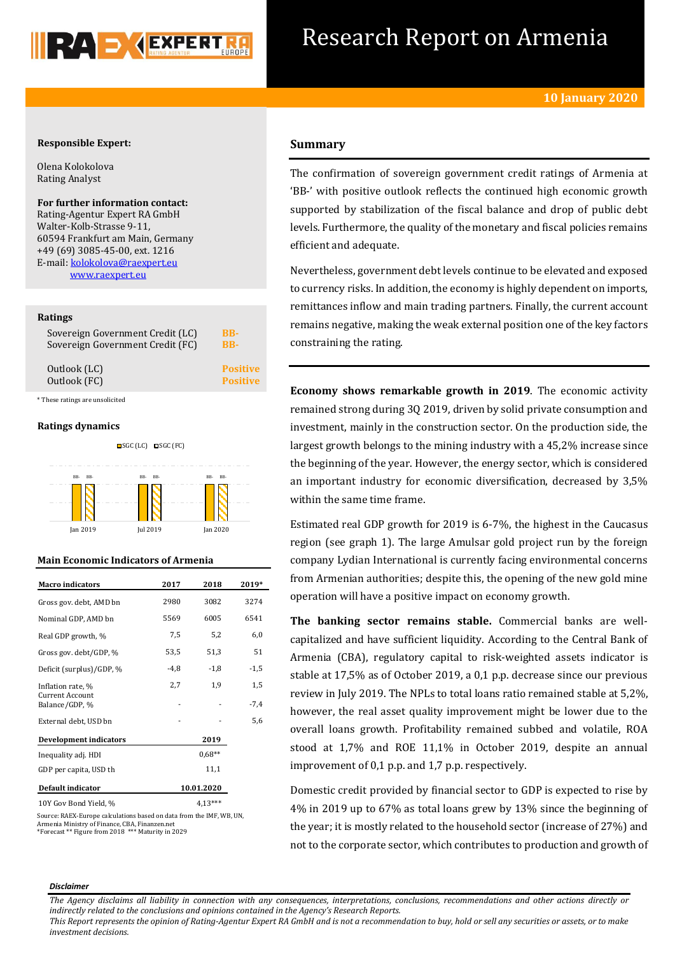

## Research Report on Armenia

## **Responsible Expert:**

Olena Kolokolova Rating Analyst

**For further information contact:** Rating-Agentur Expert RA GmbH Walter-Kolb-Strasse 9-11, 60594 Frankfurt am Main, Germany +49 (69) 3085-45-00, ext. 1216 E-mail[: kolokolova@raexpert.eu](mailto:kolokolova@raexpert.eu) [www.raexpert.eu](http://raexpert.eu/)

## **Ratings**

| Sovereign Government Credit (LC) | BB-             |
|----------------------------------|-----------------|
| Sovereign Government Credit (FC) | <b>BB-</b>      |
| Outlook (LC)                     | <b>Positive</b> |
| Outlook (FC)                     | <b>Positive</b> |
| These ratings are unsolicited    |                 |

#### **Ratings dynamics**



## **Main Economic Indicators of Armenia**

| <b>Macro</b> indicators                  | 2017   | 2018       | 2019*  |
|------------------------------------------|--------|------------|--------|
| Gross gov. debt, AMD bn                  | 2980   | 3082       | 3274   |
| Nominal GDP, AMD bn                      | 5569   | 6005       | 6541   |
| Real GDP growth, %                       | 7,5    | 5,2        | 6,0    |
| Gross gov. debt/GDP, %                   | 53,5   | 51,3       | 51     |
| Deficit (surplus)/GDP, %                 | $-4,8$ | $-1,8$     | $-1,5$ |
| Inflation rate, %                        | 2,7    | 1,9        | 1,5    |
| <b>Current Account</b><br>Balance/GDP, % |        |            | $-7,4$ |
| External debt, USD bn                    |        |            | 5,6    |
| <b>Development indicators</b>            |        | 2019       |        |
| Inequality adj. HDI                      |        | $0.68**$   |        |
| GDP per capita, USD th                   |        | 11,1       |        |
| Default indicator                        |        | 10.01.2020 |        |
| 10Y Gov Bond Yield, %                    |        | $4.13***$  |        |

Source: RAEX-Europe calculations based on data from the IMF, WB, UN, Armenia Ministry of Finance, CBA, Finanzen.net \*Forecast \*\* Figure from 2018 \*\*\* Maturity in 2029

## **Summary**

The confirmation of sovereign government credit ratings of Armenia at 'BB-' with positive outlook reflects the continued high economic growth supported by stabilization of the fiscal balance and drop of public debt levels. Furthermore, the quality of the monetary and fiscal policies remains efficient and adequate.

Nevertheless, government debt levels continue to be elevated and exposed to currency risks. In addition, the economy is highly dependent on imports, remittances inflow and main trading partners. Finally, the current account remains negative, making the weak external position one of the key factors constraining the rating.

**Economy shows remarkable growth in 2019**. The economic activity remained strong during 3Q 2019, driven by solid private consumption and investment, mainly in the construction sector. On the production side, the largest growth belongs to the mining industry with a 45,2% increase since the beginning of the year. However, the energy sector, which is considered an important industry for economic diversification, decreased by 3,5% within the same time frame.

Estimated real GDP growth for 2019 is 6-7%, the highest in the Caucasus region (see graph 1). The large Amulsar gold project run by the foreign company Lydian International is currently facing environmental concerns from Armenian authorities; despite this, the opening of the new gold mine operation will have a positive impact on economy growth.

**The banking sector remains stable.** Commercial banks are wellcapitalized and have sufficient liquidity. According to the Central Bank of Armenia (CBA), regulatory capital to risk-weighted assets indicator is stable at 17,5% as of October 2019, a 0,1 p.p. decrease since our previous review in July 2019. The NPLs to total loans ratio remained stable at 5,2%, however, the real asset quality improvement might be lower due to the overall loans growth. Profitability remained subbed and volatile, ROA stood at 1,7% and ROE 11,1% in October 2019, despite an annual improvement of 0,1 p.p. and 1,7 p.p. respectively.

Domestic credit provided by financial sector to GDP is expected to rise by 4% in 2019 up to 67% as total loans grew by 13% since the beginning of the year; it is mostly related to the household sector (increase of 27%) and not to the corporate sector, which contributes to production and growth of

#### *Disclaimer*

*The Agency disclaims all liability in connection with any consequences, interpretations, conclusions, recommendations and other actions directly or indirectly related to the conclusions and opinions contained in the Agency's Research Reports.*

*This Report represents the opinion of Rating-Agentur Expert RA GmbH and is not a recommendation to buy, hold or sell any securities or assets, or to make investment decisions.*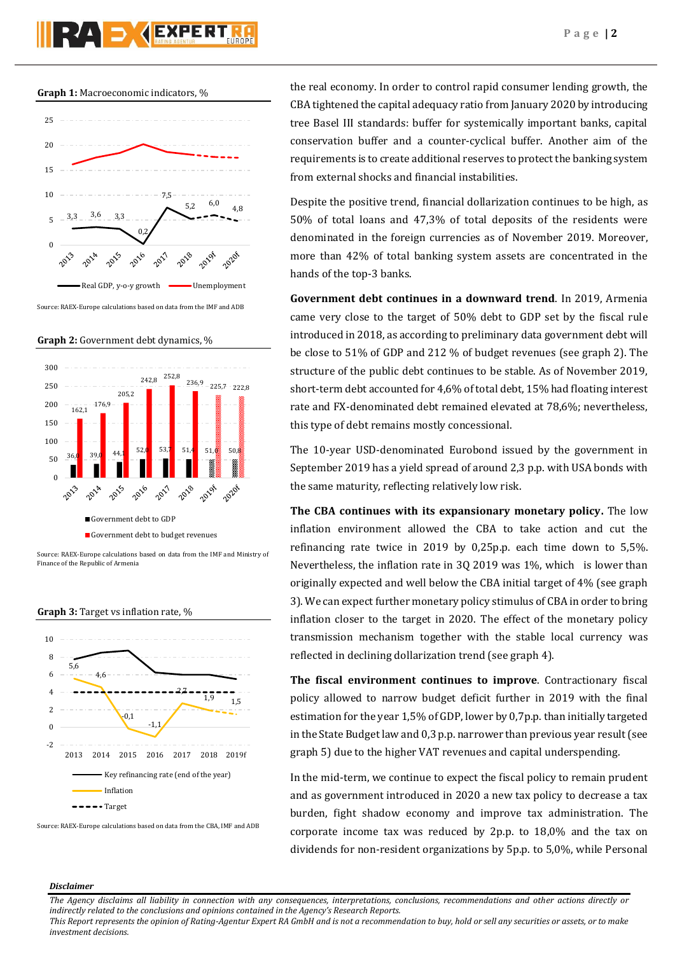**Graph 1:** Macroeconomic indicators, %



Source: RAEX-Europe calculations based on data from the IMF and ADB

**Graph 2:** Government debt dynamics, %





**Graph 3:** Target vs inflation rate, %



Source: RAEX-Europe calculations based on data from the CBA, IMF and ADB

the real economy. In order to control rapid consumer lending growth, the CBA tightened the capital adequacy ratio from January 2020 by introducing tree Basel III standards: buffer for systemically important banks, capital conservation buffer and a counter-cyclical buffer. Another aim of the requirements is to create additional reserves to protect the banking system from external shocks and financial instabilities.

Despite the positive trend, financial dollarization continues to be high, as 50% of total loans and 47,3% of total deposits of the residents were denominated in the foreign currencies as of November 2019. Moreover, more than 42% of total banking system assets are concentrated in the hands of the top-3 banks.

**Government debt continues in a downward trend**. In 2019, Armenia came very close to the target of 50% debt to GDP set by the fiscal rule introduced in 2018, as according to preliminary data government debt will be close to 51% of GDP and 212 % of budget revenues (see graph 2). The structure of the public debt continues to be stable. As of November 2019, short-term debt accounted for 4,6% of total debt, 15% had floating interest rate and FX-denominated debt remained elevated at 78,6%; nevertheless, this type of debt remains mostly concessional.

The 10-year USD-denominated Eurobond issued by the government in September 2019 has a yield spread of around 2,3 p.p. with USA bonds with the same maturity, reflecting relatively low risk.

**The CBA continues with its expansionary monetary policy.** The low inflation environment allowed the CBA to take action and cut the refinancing rate twice in 2019 by 0,25p.p. each time down to 5,5%. Nevertheless, the inflation rate in 3Q 2019 was 1%, which is lower than originally expected and well below the CBA initial target of 4% (see graph 3). We can expect further monetary policy stimulus of CBA in order to bring inflation closer to the target in 2020. The effect of the monetary policy transmission mechanism together with the stable local currency was reflected in declining dollarization trend (see graph 4).

**The fiscal environment continues to improve**. Contractionary fiscal policy allowed to narrow budget deficit further in 2019 with the final estimation for the year 1,5% of GDP, lower by 0,7p.p. than initially targeted in the State Budget law and 0,3 p.p. narrower than previous year result (see graph 5) due to the higher VAT revenues and capital underspending.

In the mid-term, we continue to expect the fiscal policy to remain prudent and as government introduced in 2020 a new tax policy to decrease a tax burden, fight shadow economy and improve tax administration. The corporate income tax was reduced by 2p.p. to 18,0% and the tax on dividends for non-resident organizations by 5p.p. to 5,0%, while Personal

## *Disclaimer*

*This Report represents the opinion of Rating-Agentur Expert RA GmbH and is not a recommendation to buy, hold or sell any securities or assets, or to make investment decisions.*

*The Agency disclaims all liability in connection with any consequences, interpretations, conclusions, recommendations and other actions directly or indirectly related to the conclusions and opinions contained in the Agency's Research Reports.*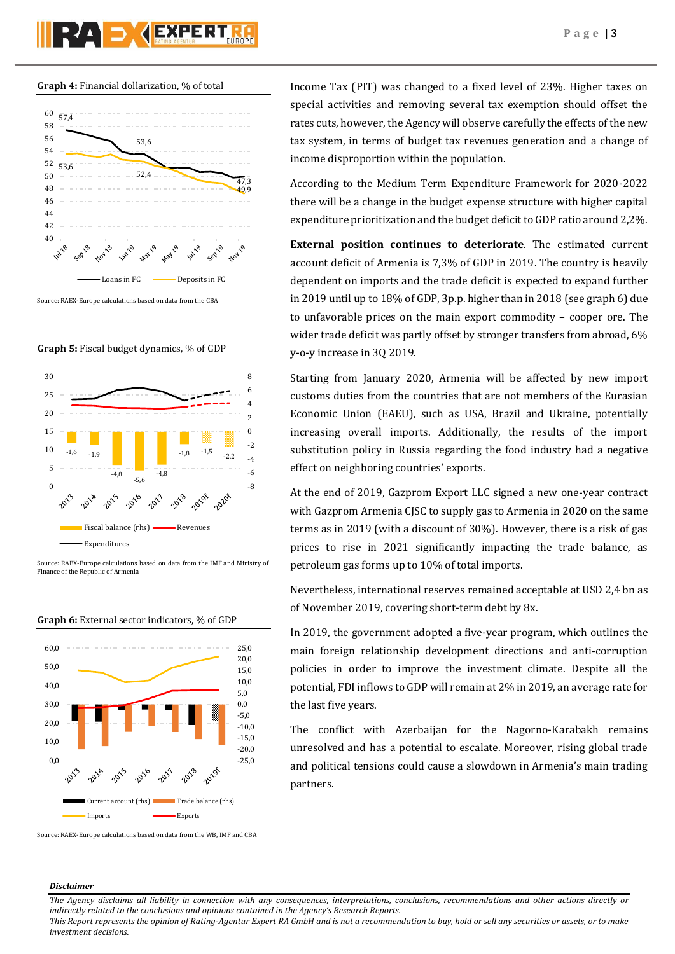# **PAD AEXPERT**



Source: RAEX-Europe calculations based on data from the CBA

**Graph 5:** Fiscal budget dynamics, % of GDP







**Graph 6:** External sector indicators, % of GDP

Source: RAEX-Europe calculations based on data from the WB, IMF and CBA

Income Tax (PIT) was changed to a fixed level of 23%. Higher taxes on special activities and removing several tax exemption should offset the rates cuts, however, the Agency will observe carefully the effects of the new tax system, in terms of budget tax revenues generation and a change of income disproportion within the population.

According to the Medium Term Expenditure Framework for 2020-2022 there will be a change in the budget expense structure with higher capital expenditure prioritization and the budget deficit to GDP ratio around 2,2%.

**External position continues to deteriorate**. The estimated current account deficit of Armenia is 7,3% of GDP in 2019. The country is heavily dependent on imports and the trade deficit is expected to expand further in 2019 until up to 18% of GDP, 3p.p. higher than in 2018 (see graph 6) due to unfavorable prices on the main export commodity – cooper ore. The wider trade deficit was partly offset by stronger transfers from abroad, 6% y-o-y increase in 3Q 2019.

Starting from January 2020, Armenia will be affected by new import customs duties from the countries that are not members of the Eurasian Economic Union (EAEU), such as USA, Brazil and Ukraine, potentially increasing overall imports. Additionally, the results of the import substitution policy in Russia regarding the food industry had a negative effect on neighboring countries' exports.

At the end of 2019, Gazprom Export LLC signed a new one-year contract with Gazprom Armenia CJSC to supply gas to Armenia in 2020 on the same terms as in 2019 (with a discount of 30%). However, there is a risk of gas prices to rise in 2021 significantly impacting the trade balance, as petroleum gas forms up to 10% of total imports.

Nevertheless, international reserves remained acceptable at USD 2,4 bn as of November 2019, covering short-term debt by 8x.

In 2019, the government adopted a five-year program, which outlines the main foreign relationship development directions and anti-corruption policies in order to improve the investment climate. Despite all the potential, FDI inflows to GDP will remain at 2% in 2019, an average rate for the last five years.

The conflict with Azerbaijan for the Nagorno-Karabakh remains unresolved and has a potential to escalate. Moreover, rising global trade and political tensions could cause a slowdown in Armenia's main trading partners.

## *Disclaimer*

*The Agency disclaims all liability in connection with any consequences, interpretations, conclusions, recommendations and other actions directly or indirectly related to the conclusions and opinions contained in the Agency's Research Reports.*

*This Report represents the opinion of Rating-Agentur Expert RA GmbH and is not a recommendation to buy, hold or sell any securities or assets, or to make investment decisions.*